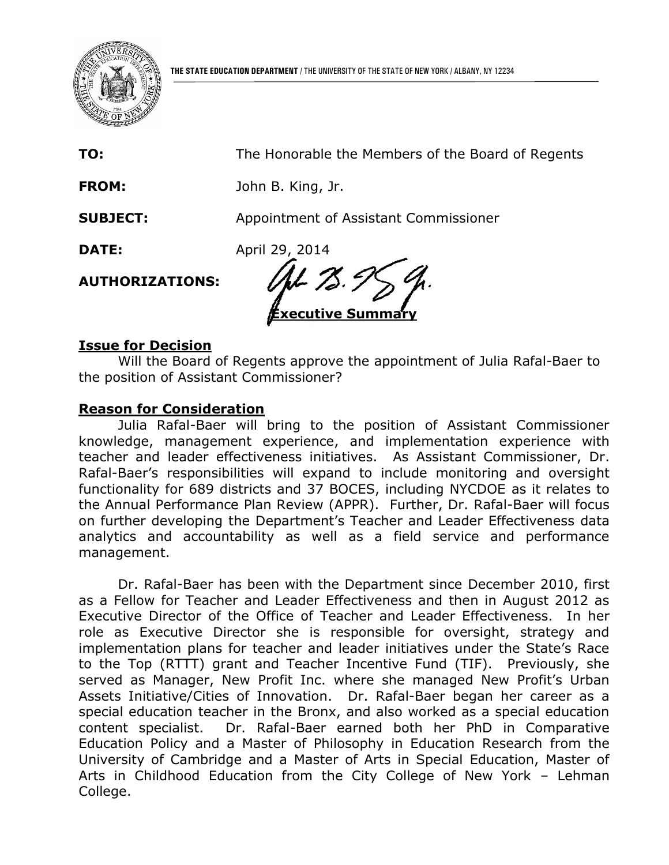

|                        | <b>Executive Summary</b>                          |
|------------------------|---------------------------------------------------|
| <b>AUTHORIZATIONS:</b> |                                                   |
| <b>DATE:</b>           | April 29, 2014                                    |
| <b>SUBJECT:</b>        | Appointment of Assistant Commissioner             |
| <b>FROM:</b>           | John B. King, Jr.                                 |
| TO:                    | The Honorable the Members of the Board of Regents |

## **Issue for Decision**

Will the Board of Regents approve the appointment of Julia Rafal-Baer to the position of Assistant Commissioner?

## **Reason for Consideration**

Julia Rafal-Baer will bring to the position of Assistant Commissioner knowledge, management experience, and implementation experience with teacher and leader effectiveness initiatives. As Assistant Commissioner, Dr. Rafal-Baer's responsibilities will expand to include monitoring and oversight functionality for 689 districts and 37 BOCES, including NYCDOE as it relates to the Annual Performance Plan Review (APPR). Further, Dr. Rafal-Baer will focus on further developing the Department's Teacher and Leader Effectiveness data analytics and accountability as well as a field service and performance management.

Dr. Rafal-Baer has been with the Department since December 2010, first as a Fellow for Teacher and Leader Effectiveness and then in August 2012 as Executive Director of the Office of Teacher and Leader Effectiveness. In her role as Executive Director she is responsible for oversight, strategy and implementation plans for teacher and leader initiatives under the State's Race to the Top (RTTT) grant and Teacher Incentive Fund (TIF). Previously, she served as Manager, New Profit Inc. where she managed New Profit's Urban Assets Initiative/Cities of Innovation. Dr. Rafal-Baer began her career as a special education teacher in the Bronx, and also worked as a special education content specialist. Dr. Rafal-Baer earned both her PhD in Comparative Education Policy and a Master of Philosophy in Education Research from the University of Cambridge and a Master of Arts in Special Education, Master of Arts in Childhood Education from the City College of New York – Lehman College.